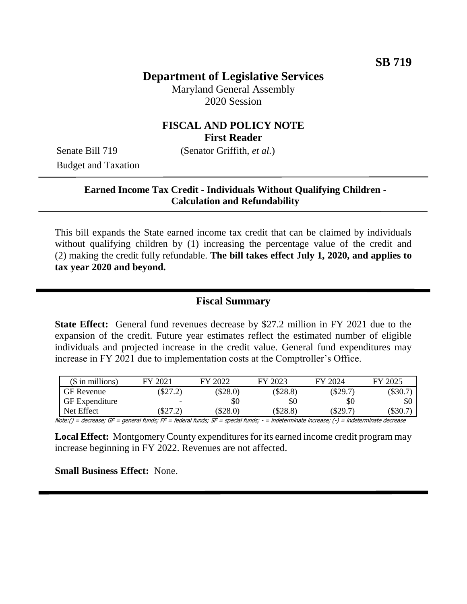# **Department of Legislative Services**

Maryland General Assembly 2020 Session

## **FISCAL AND POLICY NOTE First Reader**

Budget and Taxation

Senate Bill 719 (Senator Griffith, *et al.*)

#### **Earned Income Tax Credit - Individuals Without Qualifying Children - Calculation and Refundability**

This bill expands the State earned income tax credit that can be claimed by individuals without qualifying children by (1) increasing the percentage value of the credit and (2) making the credit fully refundable. **The bill takes effect July 1, 2020, and applies to tax year 2020 and beyond.**

## **Fiscal Summary**

**State Effect:** General fund revenues decrease by \$27.2 million in FY 2021 due to the expansion of the credit. Future year estimates reflect the estimated number of eligible individuals and projected increase in the credit value. General fund expenditures may increase in FY 2021 due to implementation costs at the Comptroller's Office.

| $($$ in millions)     | FY 2021 | FY 2022    | FY 2023  | FY 2024    | FY 2025 |
|-----------------------|---------|------------|----------|------------|---------|
| <b>GF</b> Revenue     | \$27.2) | $(\$28.0)$ | (\$28.8) | $(\$29.7)$ | (S30.7) |
| <b>GF</b> Expenditure | -       | \$0        | \$0      | \$0        | \$0     |
| Net Effect            | \$27.21 | (\$28.0)   | (\$28.8) | \$29.7     | (\$30.7 |

Note:() = decrease; GF = general funds; FF = federal funds; SF = special funds; - = indeterminate increase; (-) = indeterminate decrease

**Local Effect:** Montgomery County expenditures for its earned income credit program may increase beginning in FY 2022. Revenues are not affected.

**Small Business Effect:** None.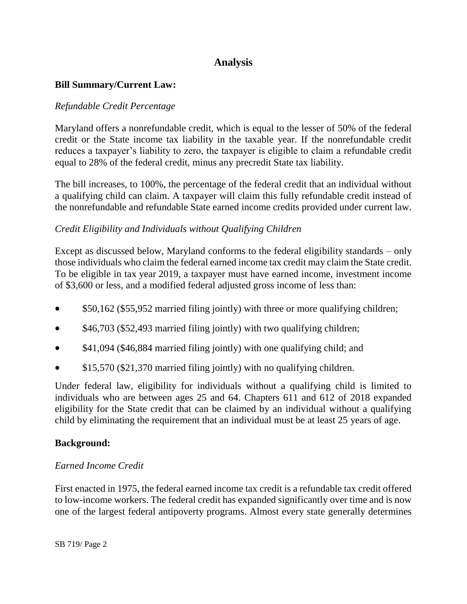# **Analysis**

## **Bill Summary/Current Law:**

#### *Refundable Credit Percentage*

Maryland offers a nonrefundable credit, which is equal to the lesser of 50% of the federal credit or the State income tax liability in the taxable year. If the nonrefundable credit reduces a taxpayer's liability to zero, the taxpayer is eligible to claim a refundable credit equal to 28% of the federal credit, minus any precredit State tax liability.

The bill increases, to 100%, the percentage of the federal credit that an individual without a qualifying child can claim. A taxpayer will claim this fully refundable credit instead of the nonrefundable and refundable State earned income credits provided under current law.

## *Credit Eligibility and Individuals without Qualifying Children*

Except as discussed below, Maryland conforms to the federal eligibility standards – only those individuals who claim the federal earned income tax credit may claim the State credit. To be eligible in tax year 2019, a taxpayer must have earned income, investment income of \$3,600 or less, and a modified federal adjusted gross income of less than:

- \$50,162 (\$55,952 married filing jointly) with three or more qualifying children;
- \$46,703 (\$52,493 married filing jointly) with two qualifying children;
- \$41,094 (\$46,884 married filing jointly) with one qualifying child; and
- \$15,570 (\$21,370 married filing jointly) with no qualifying children.

Under federal law, eligibility for individuals without a qualifying child is limited to individuals who are between ages 25 and 64. Chapters 611 and 612 of 2018 expanded eligibility for the State credit that can be claimed by an individual without a qualifying child by eliminating the requirement that an individual must be at least 25 years of age.

#### **Background:**

#### *Earned Income Credit*

First enacted in 1975, the federal earned income tax credit is a refundable tax credit offered to low-income workers. The federal credit has expanded significantly over time and is now one of the largest federal antipoverty programs. Almost every state generally determines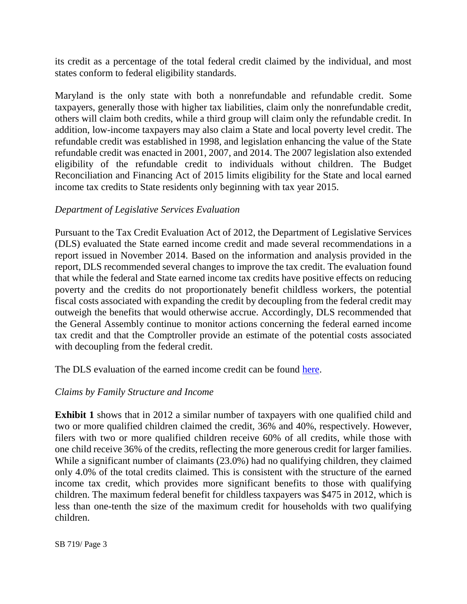its credit as a percentage of the total federal credit claimed by the individual, and most states conform to federal eligibility standards.

Maryland is the only state with both a nonrefundable and refundable credit. Some taxpayers, generally those with higher tax liabilities, claim only the nonrefundable credit, others will claim both credits, while a third group will claim only the refundable credit. In addition, low-income taxpayers may also claim a State and local poverty level credit. The refundable credit was established in 1998, and legislation enhancing the value of the State refundable credit was enacted in 2001, 2007, and 2014. The 2007 legislation also extended eligibility of the refundable credit to individuals without children. The Budget Reconciliation and Financing Act of 2015 limits eligibility for the State and local earned income tax credits to State residents only beginning with tax year 2015.

## *Department of Legislative Services Evaluation*

Pursuant to the Tax Credit Evaluation Act of 2012, the Department of Legislative Services (DLS) evaluated the State earned income credit and made several recommendations in a report issued in November 2014. Based on the information and analysis provided in the report, DLS recommended several changes to improve the tax credit. The evaluation found that while the federal and State earned income tax credits have positive effects on reducing poverty and the credits do not proportionately benefit childless workers, the potential fiscal costs associated with expanding the credit by decoupling from the federal credit may outweigh the benefits that would otherwise accrue. Accordingly, DLS recommended that the General Assembly continue to monitor actions concerning the federal earned income tax credit and that the Comptroller provide an estimate of the potential costs associated with decoupling from the federal credit.

The DLS evaluation of the earned income credit can be found [here.](http://dls.maryland.gov/pubs/prod/TaxFiscalPlan/Evaluation-of-the-Maryland-Earned-Income-Tax-Credit.pdf)

#### *Claims by Family Structure and Income*

**Exhibit 1** shows that in 2012 a similar number of taxpayers with one qualified child and two or more qualified children claimed the credit, 36% and 40%, respectively. However, filers with two or more qualified children receive 60% of all credits, while those with one child receive 36% of the credits, reflecting the more generous credit for larger families. While a significant number of claimants (23.0%) had no qualifying children, they claimed only 4.0% of the total credits claimed. This is consistent with the structure of the earned income tax credit, which provides more significant benefits to those with qualifying children. The maximum federal benefit for childless taxpayers was \$475 in 2012, which is less than one-tenth the size of the maximum credit for households with two qualifying children.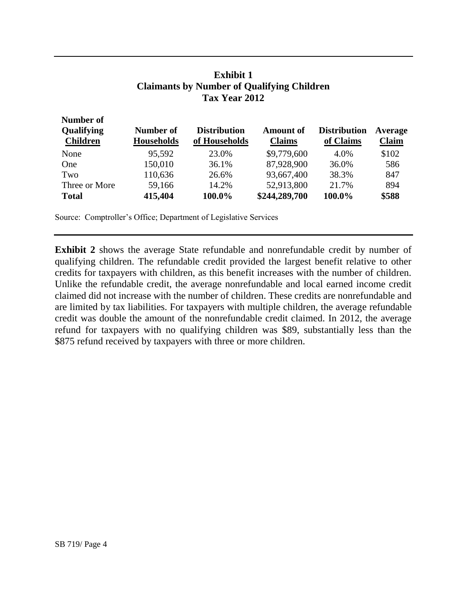## **Exhibit 1 Claimants by Number of Qualifying Children Tax Year 2012**

| Number of<br>Qualifying<br><b>Children</b> | Number of<br><b>Households</b> | <b>Distribution</b><br>of Households | <b>Amount of</b><br><b>Claims</b> | <b>Distribution</b><br>of Claims | Average<br><b>Claim</b> |
|--------------------------------------------|--------------------------------|--------------------------------------|-----------------------------------|----------------------------------|-------------------------|
| None                                       | 95,592                         | 23.0%                                | \$9,779,600                       | 4.0%                             | \$102                   |
| One                                        | 150,010                        | 36.1%                                | 87,928,900                        | 36.0%                            | 586                     |
| Two                                        | 110,636                        | 26.6%                                | 93,667,400                        | 38.3%                            | 847                     |
| Three or More                              | 59,166                         | 14.2%                                | 52,913,800                        | 21.7%                            | 894                     |
| <b>Total</b>                               | 415,404                        | 100.0%                               | \$244,289,700                     | 100.0%                           | \$588                   |

Source: Comptroller's Office; Department of Legislative Services

**Exhibit 2** shows the average State refundable and nonrefundable credit by number of qualifying children. The refundable credit provided the largest benefit relative to other credits for taxpayers with children, as this benefit increases with the number of children. Unlike the refundable credit, the average nonrefundable and local earned income credit claimed did not increase with the number of children. These credits are nonrefundable and are limited by tax liabilities. For taxpayers with multiple children, the average refundable credit was double the amount of the nonrefundable credit claimed. In 2012, the average refund for taxpayers with no qualifying children was \$89, substantially less than the \$875 refund received by taxpayers with three or more children.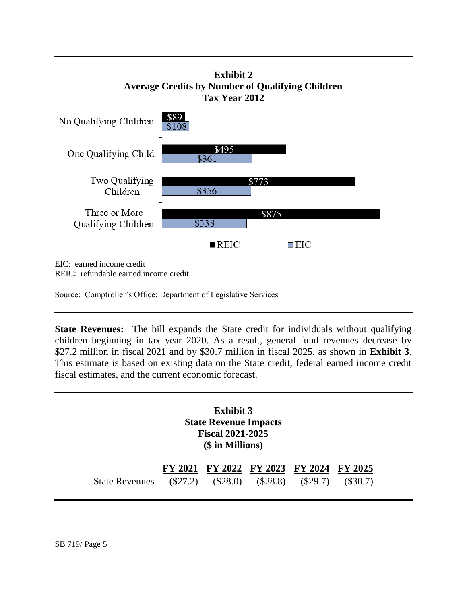

EIC: earned income credit REIC: refundable earned income credit

Source: Comptroller's Office; Department of Legislative Services

**State Revenues:** The bill expands the State credit for individuals without qualifying children beginning in tax year 2020. As a result, general fund revenues decrease by \$27.2 million in fiscal 2021 and by \$30.7 million in fiscal 2025, as shown in **Exhibit 3**. This estimate is based on existing data on the State credit, federal earned income credit fiscal estimates, and the current economic forecast.

> **Exhibit 3 State Revenue Impacts Fiscal 2021-2025 (\$ in Millions)**

|                                                             | FY 2021 FY 2022 FY 2023 FY 2024 FY 2025 |  |  |
|-------------------------------------------------------------|-----------------------------------------|--|--|
| State Revenues (\$27.2) (\$28.0) (\$28.8) (\$29.7) (\$30.7) |                                         |  |  |